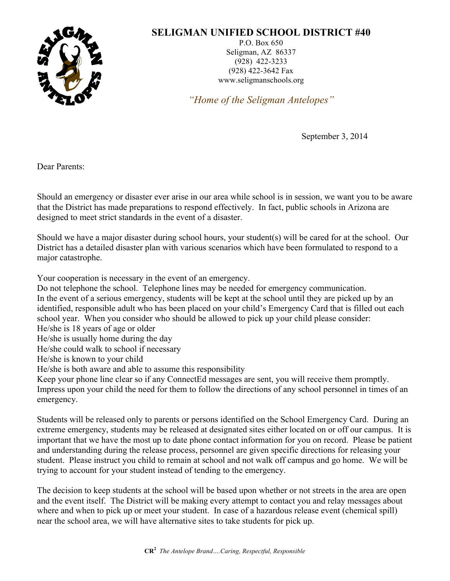

## **SELIGMAN UNIFIED SCHOOL DISTRICT #40**

P.O. Box 650 Seligman, AZ 86337 (928) 422-3233 (928) 422-3642 Fax www.seligmanschools.org

*"Home of the Seligman Antelopes"*

September 3, 2014

Dear Parents:

Should an emergency or disaster ever arise in our area while school is in session, we want you to be aware that the District has made preparations to respond effectively. In fact, public schools in Arizona are designed to meet strict standards in the event of a disaster.

Should we have a major disaster during school hours, your student(s) will be cared for at the school. Our District has a detailed disaster plan with various scenarios which have been formulated to respond to a major catastrophe.

Your cooperation is necessary in the event of an emergency.

Do not telephone the school. Telephone lines may be needed for emergency communication. In the event of a serious emergency, students will be kept at the school until they are picked up by an identified, responsible adult who has been placed on your child's Emergency Card that is filled out each school year. When you consider who should be allowed to pick up your child please consider:

He/she is 18 years of age or older

He/she is usually home during the day

He/she could walk to school if necessary

He/she is known to your child

He/she is both aware and able to assume this responsibility

Keep your phone line clear so if any ConnectEd messages are sent, you will receive them promptly. Impress upon your child the need for them to follow the directions of any school personnel in times of an emergency.

Students will be released only to parents or persons identified on the School Emergency Card. During an extreme emergency, students may be released at designated sites either located on or off our campus. It is important that we have the most up to date phone contact information for you on record. Please be patient and understanding during the release process, personnel are given specific directions for releasing your student. Please instruct you child to remain at school and not walk off campus and go home. We will be trying to account for your student instead of tending to the emergency.

The decision to keep students at the school will be based upon whether or not streets in the area are open and the event itself. The District will be making every attempt to contact you and relay messages about where and when to pick up or meet your student. In case of a hazardous release event (chemical spill) near the school area, we will have alternative sites to take students for pick up.